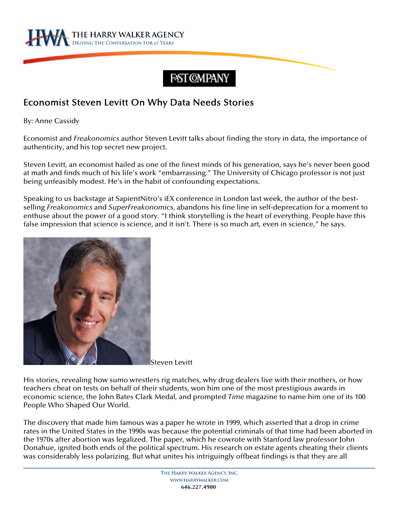

## FAST CMPANY

## Economist Steven Levitt On Why Data Needs Stories

By: Anne Cassidy

Economist and *Freakonomics* author Steven Levitt talks about finding the story in data, the importance of authenticity, and his top secret new project.

Steven Levitt, an economist hailed as one of the finest minds of his generation, says he's never been good at math and finds much of his life's work "embarrassing." The University of Chicago professor is not just being unfeasibly modest. He's in the habit of confounding expectations.

Speaking to us backstage at SapientNitro's iEX conference in London last week, the author of the bestselling *Freakonomics* and *SuperFreakonomics,* abandons his fine line in self-deprecation for a moment to enthuse about the power of a good story. "I think storytelling is the heart of everything. People have this false impression that science is science, and it isn't. There is so much art, even in science," he says.



Steven Levitt

His stories, revealing how sumo wrestlers rig matches, why drug dealers live with their mothers, or how teachers cheat on tests on behalf of their students, won him one of the most prestigious awards in economic science, the John Bates Clark Medal, and prompted *Time* magazine to name him one of its 100 People Who Shaped Our World.

The discovery that made him famous was a paper he wrote in 1999, which asserted that a drop in crime rates in the United States in the 1990s was because the potential criminals of that time had been aborted in the 1970s after abortion was legalized. The paper, which he cowrote with Stanford law professor John Donahue, ignited both ends of the political spectrum. His research on estate agents cheating their clients was considerably less polarizing. But what unites his intriguingly offbeat findings is that they are all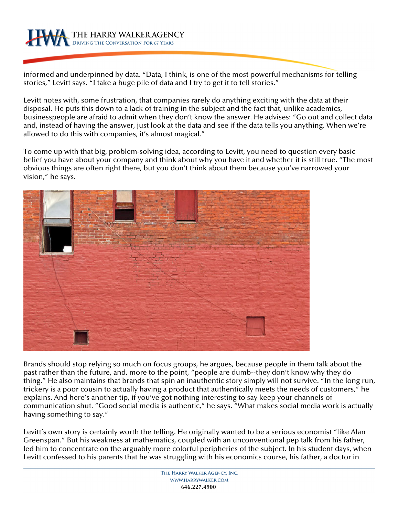

informed and underpinned by data. "Data, I think, is one of the most powerful mechanisms for telling stories," Levitt says. "I take a huge pile of data and I try to get it to tell stories."

Levitt notes with, some frustration, that companies rarely do anything exciting with the data at their disposal. He puts this down to a lack of training in the subject and the fact that, unlike academics, businesspeople are afraid to admit when they don't know the answer. He advises: "Go out and collect data and, instead of having the answer, just look at the data and see if the data tells you anything. When we're allowed to do this with companies, it's almost magical."

To come up with that big, problem-solving idea, according to Levitt, you need to question every basic belief you have about your company and think about why you have it and whether it is still true. "The most obvious things are often right there, but you don't think about them because you've narrowed your vision," he says.



Brands should stop relying so much on focus groups, he argues, because people in them talk about the past rather than the future, and, more to the point, "people are dumb--they don't know why they do thing." He also maintains that brands that spin an inauthentic story simply will not survive. "In the long run, trickery is a poor cousin to actually having a product that authentically meets the needs of customers," he explains. And here's another tip, if you've got nothing interesting to say keep your channels of communication shut. "Good social media is authentic," he says. "What makes social media work is actually having something to say."

Levitt's own story is certainly worth the telling. He originally wanted to be a serious economist "like Alan Greenspan." But his weakness at mathematics, coupled with an unconventional pep talk from his father, led him to concentrate on the arguably more colorful peripheries of the subject. In his student days, when Levitt confessed to his parents that he was struggling with his economics course, his father, a doctor in